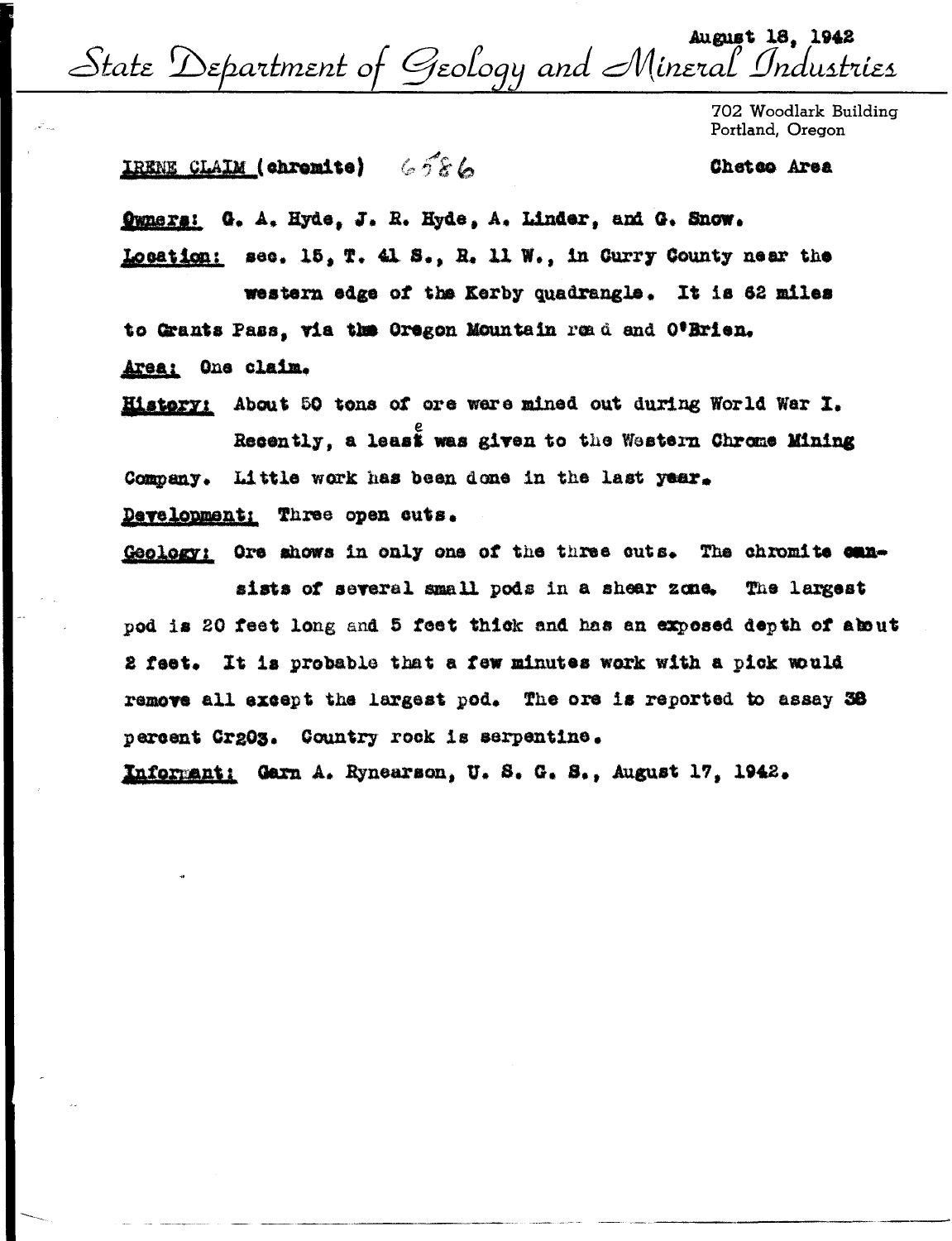August 18, 1942 State Department of Geology and Mineral Industries

702 Woodlark Building Portland, Oregon

Chetco Area

## IRENE CLAIM (chromite) 6586

Ownsrs: G. A. Hyde, J. R. Hyde, A. Linder, and G. Snow. Location: sec. 15, T. 41 S., R. 11 W., in Curry County near the

western edge of the Kerby quadrangle. It is 62 miles to Grants Pass, via the Oregon Mountain read and O'Brien. Area: One claim.

History: About 50 tons of ore were mined out during World War I. Recently, a least was given to the Western Chrome Mining Company. Little work has been done in the last year.

Development: Three open cuts.

Geology: Ore shows in only one of the three cuts. The chromite can-

sists of several small pods in a shear zone. The largest pod is 20 feet long and 5 feet thick and has an exposed depth of about 2 feet. It is probable that a few minutes work with a pick would remove all except the largest pod. The ore is reported to assay 38 percent Cr203. Country rock is serpentine.

Informant: Garn A. Rynearson, U.S. G. S., August 17. 1942.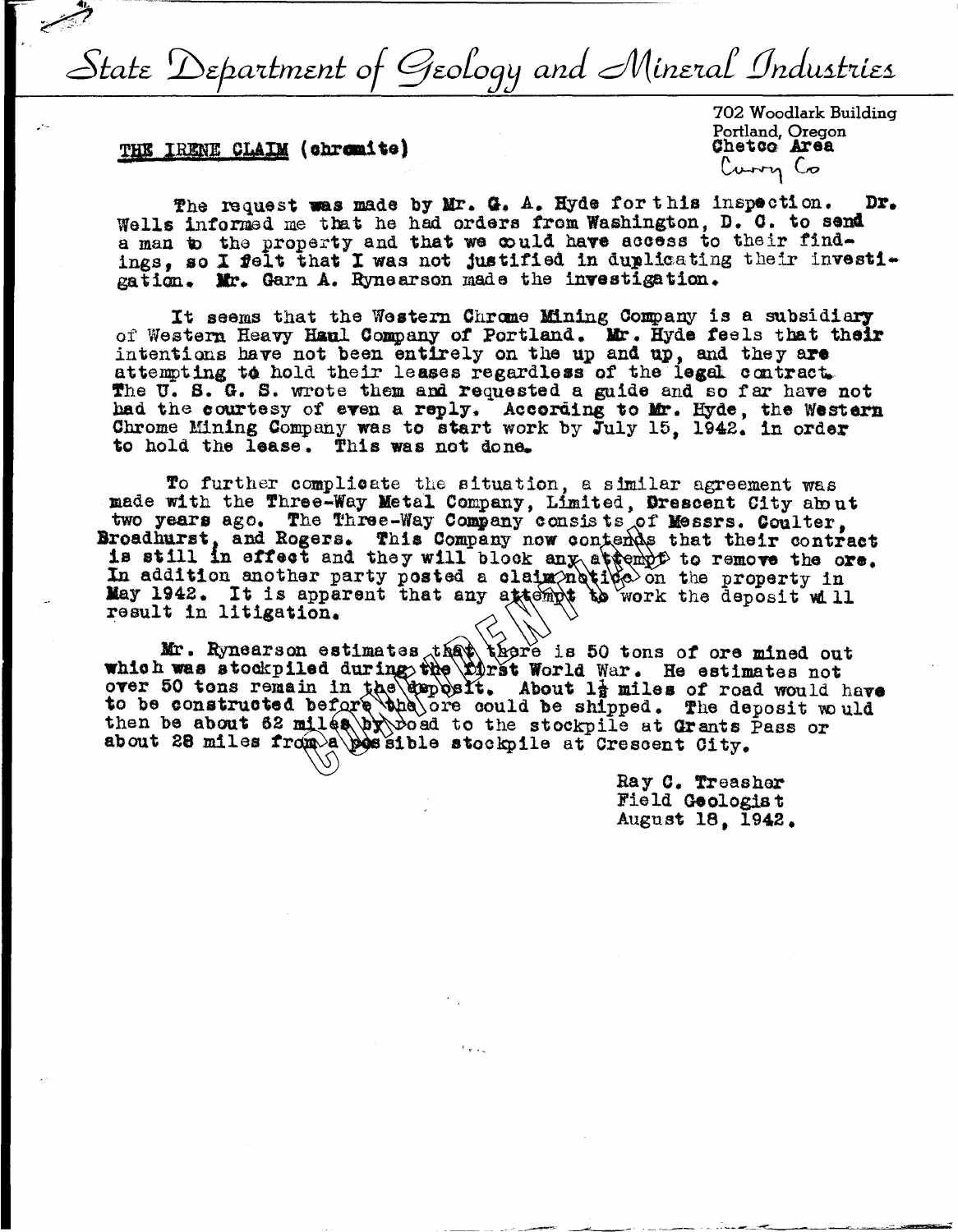State Department of Geology and Mineral Industries

## THE IRENE CLAIM (chromite)

702 Woodlark Building Portland, Oregon Chetco Area Curry Co

The request was made by Mr. G. A. Hyde for this inspection. Dr. Wells informed me that he had orders from Washington, D. C. to send a man to the property and that we could have access to their findings, so I felt that I was not justified in duplicating their investigation. Mr. Garn A. Rynearson made the investigation.

It seems that the Western Chrome Mining Company is a subsidiary of Western Heavy Hanl Company of Portland. Mr. Hyde feels that their intentions have not been entirely on the up and up, and they are attempting to hold their leases regardless of the legal contract. The U.S. G.S. wrote them and requested a guide and so far have not had the courtesy of even a reply. According to Mr. Hyde, the Western Chrone Mining Company was to start work by July 15, 1942. in order to hold the lease. This was not done.

To further complicate the situation, a similar agreement was made with the Three-Way Metal Company, Limited, Drescent City about two years ago. The Three-Way Company consists of Messrs. Coulter, Broadhurst, and Rogers. This Company now contends that their contract is still in effect and they will block any attempt to remove the ore. In addition another party posted a claim notice on the property in<br>May 1942. It is apparent that any attempt to work the deposit will result in litigation.

Mr. Rynearson estimates that there is 50 tons of ore mined out<br>which was stockpiled during the Dirst World War. He estimates not over 50 tons remain in the upposit. About 1<sup>1</sup> miles of road would have to be constructed before the ore could be shipped. The deposit would<br>then be about 62 miles by boad to the stockpile at Grants Pass or<br>about 28 miles from a possible stockpile at Crescent City.

> Ray C. Treasher Field Geologist August 18, 1942.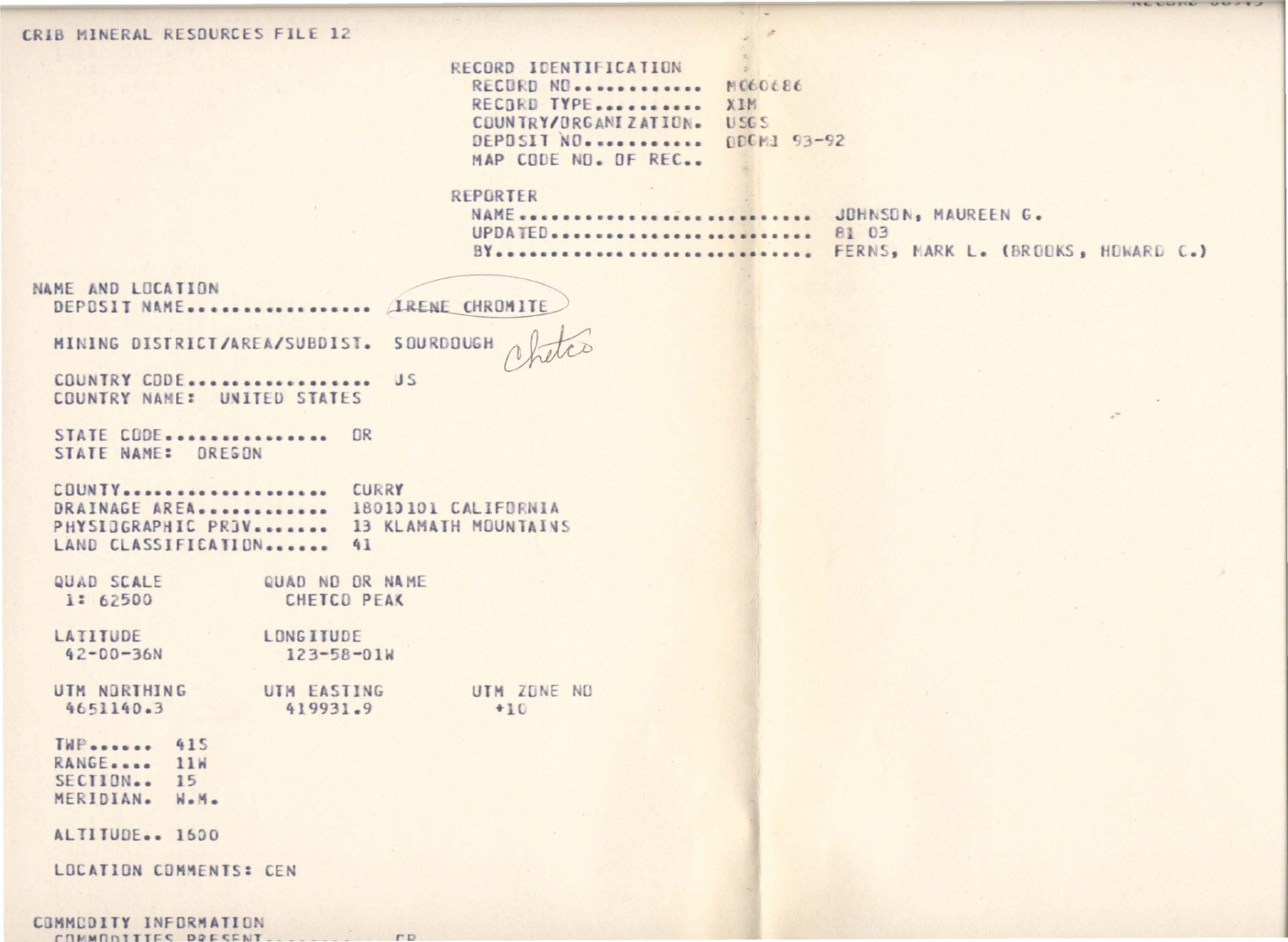CRIB MINERAL RESOURCES FILE 12

RECORD IDENTIFICATION MC60686 RECORD NO. . . . . . . . . . . . . RECORD TYPE........... XIM COUNTRY/ORGANIZATION. USGS DEPOSIT NO. ........... ODCMJ 93-92 MAP CODE ND. OF REC..

 $\mathcal{L}$ 

## REPORTER

| NAME  JOHNSON, MAUREEN G. |                                       |
|---------------------------|---------------------------------------|
| UPDATED 81 03             |                                       |
|                           | BY FERNS, MARK L. (BROOKS, HOWARD C.) |

**14** 

LEE CLEARING CLOSE

| VAME AND LOCATION                                           |                 |  |                                             |  |                                |  |                                         |  | DEPOSIT NAME (IRENE CHROMITE                                                 |  |
|-------------------------------------------------------------|-----------------|--|---------------------------------------------|--|--------------------------------|--|-----------------------------------------|--|------------------------------------------------------------------------------|--|
|                                                             |                 |  |                                             |  |                                |  | MINING DISTRICT/AREA/SUBDIST. SOURDOUGH |  |                                                                              |  |
|                                                             |                 |  | COUNTRY CODE<br>COUNTRY NAME: UNITED STATES |  |                                |  | <b>US</b>                               |  |                                                                              |  |
|                                                             |                 |  | STATE CODE OR<br>STATE NAME: OREGON         |  |                                |  |                                         |  |                                                                              |  |
|                                                             |                 |  | COUNTY CURRY<br>LAND CLASSIFICATION 41      |  |                                |  |                                         |  | DRAINAGE AREA 18010101 CALIFORNIA<br>PHYSIOGRAPHIC PROV 13 KLAMATH MOUNTAINS |  |
| QUAD SCALE                                                  | 1: 62500        |  |                                             |  | CHETCO PEAK                    |  | QUAD ND OR NAME                         |  |                                                                              |  |
| LATITUDE                                                    | $42 - 00 - 36N$ |  |                                             |  | LONG ITUDE<br>$123 - 58 - 01W$ |  |                                         |  |                                                                              |  |
| UTM NORTHING<br>4651140.3                                   |                 |  |                                             |  | UTM EASTING<br>419931.9        |  |                                         |  | UTM ZONE NO<br>$+10$                                                         |  |
| <b>TWP</b> 415<br>RANGE 11W<br>SECTION 15<br>MERIDIAN. W.M. |                 |  |                                             |  |                                |  |                                         |  |                                                                              |  |
| ALTITUDE 1600                                               |                 |  |                                             |  |                                |  |                                         |  |                                                                              |  |
|                                                             |                 |  | LOCATION COMMENTS: CEN                      |  |                                |  |                                         |  |                                                                              |  |
| COMMODITY INFORMATION<br>COMMONSTICE DOECCNT                |                 |  |                                             |  |                                |  | P                                       |  |                                                                              |  |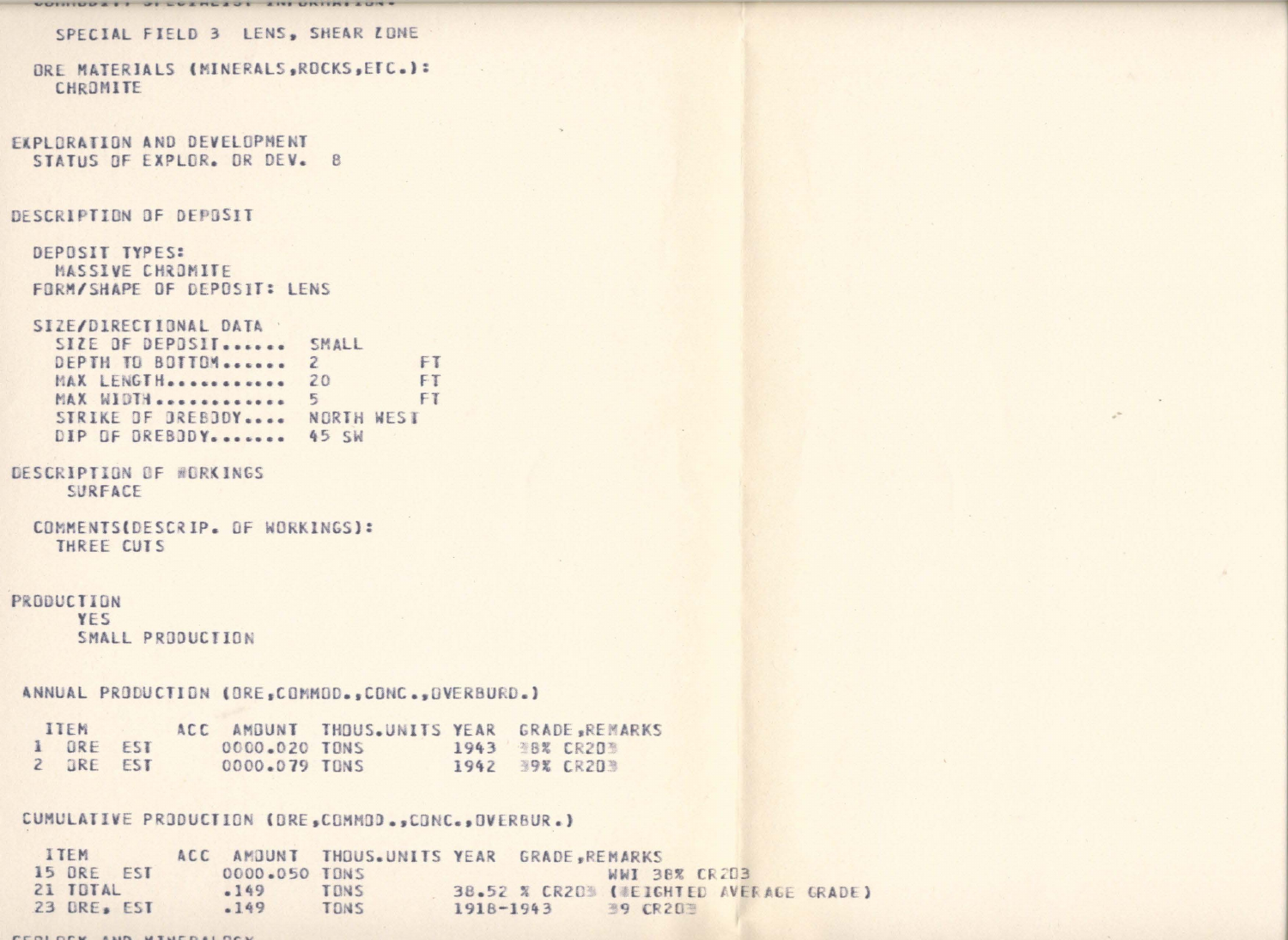```
VUINIUUAII VILVANLAJI AIII UNIINIAUN
    SPECIAL FIELD 3 LENS, SHEAR LONE
  ORE MATERIALS (MINERALS, ROCKS, ETC.):
    CHROMITE
EXPLORATION AND DEVELOPMENT
  STATUS DE EXPLOR. OR DEV. 8
DESCRIPTION OF DEPOSIT
  DEPOSIT TYPES:
    MASSIVE CHROMITE
  FORM/SHAPE OF DEPOSIT: LENS
  SIZE/DIRECTIONAL DATA
   SIZE OF DEPOSIT ...... SMALL
    DEPTH TO BOTTOM....... 2
   MAX LENGTH............ 20
   MAX WIDTH experiences 5
    DIP OF OREBODY....... 45 SW
```
FT FT FT STRIKE OF OREBOOY .... NORTH WEST

```
DESCRIPTION OF WORKINGS
     SURFACE
```

```
COMMENTS(DESCRIP. OF WORKINGS):
 THREE CUTS
```

```
PRODUCTION
```
YES SMALL PRODUCTION

ANNUAL PRODUCTION (ORE, COMMOD., CONC., OVERBURD.)

| <b>ITEM</b> |  |               | ACC AMBUNT THOUS.UNITS YEAR GRADE.REMARKS |  |                |
|-------------|--|---------------|-------------------------------------------|--|----------------|
| I URE EST   |  | 0000.020 TONS |                                           |  | 1943 FBX CR203 |
| 2 ORE EST   |  | 0000.079 TONS |                                           |  | 1942 39% CR203 |

CUMULATIVE PRODUCTION (ORE COMMOD..CONC..OVERBUR.)

ITEM ACC AMOUNT THOUS. UNITS YEAR GRADE, REMARKS WWI 38% CR203 21 TOTAL  $.149$ TONS 38.52 % CR20% (#EIGHTED AVERAGE GRADE) 23 DRE. EST  $.149$ TONS 1918-1943 **39 CR203** 

FEBLORY AUS UTHERALDER